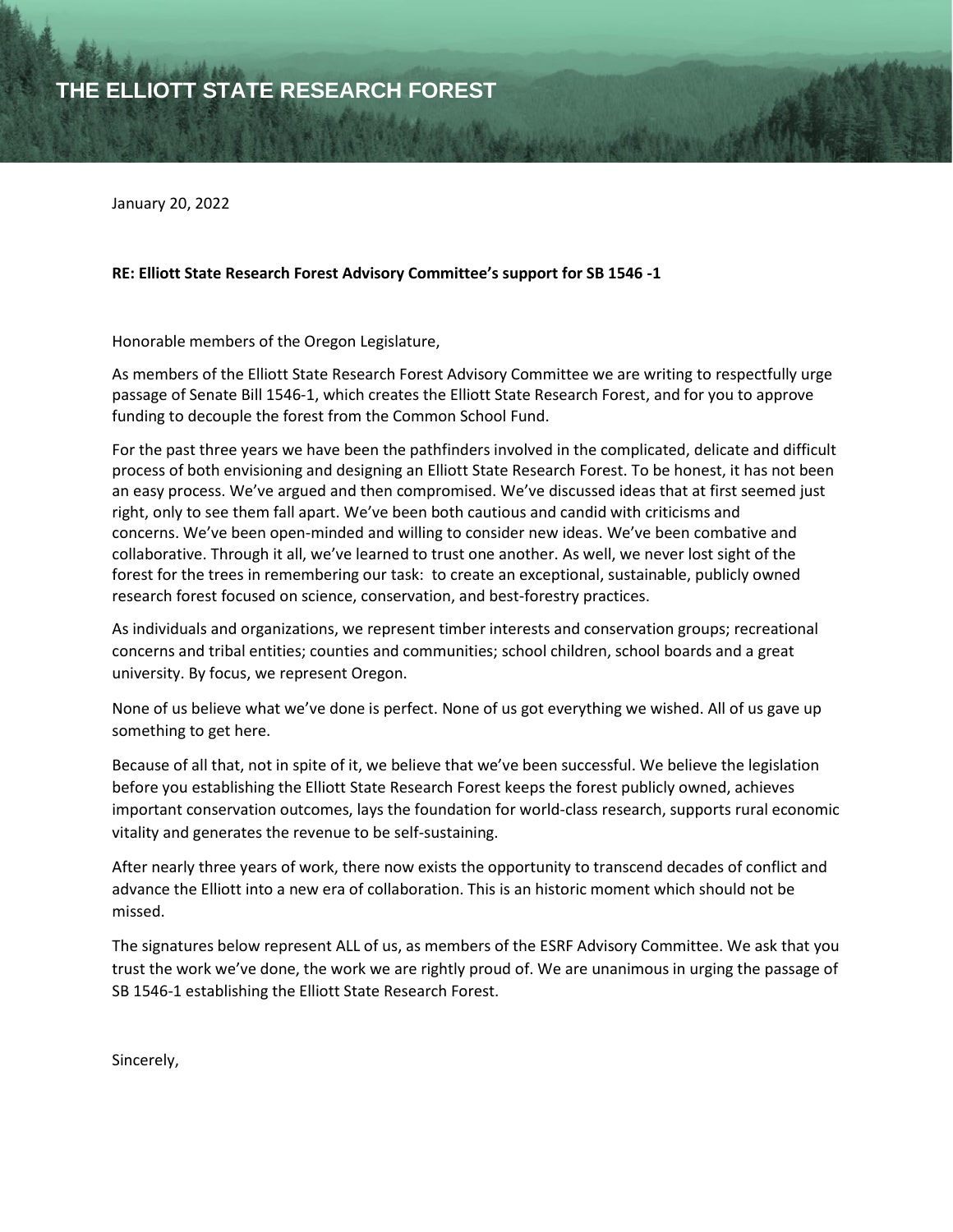January 20, 2022

## **RE: Elliott State Research Forest Advisory Committee's support for SB 1546 -1**

Honorable members of the Oregon Legislature,

As members of the Elliott State Research Forest Advisory Committee we are writing to respectfully urge passage of Senate Bill 1546-1, which creates the Elliott State Research Forest, and for you to approve funding to decouple the forest from the Common School Fund.

For the past three years we have been the pathfinders involved in the complicated, delicate and difficult process of both envisioning and designing an Elliott State Research Forest. To be honest, it has not been an easy process. We've argued and then compromised. We've discussed ideas that at first seemed just right, only to see them fall apart. We've been both cautious and candid with criticisms and concerns. We've been open-minded and willing to consider new ideas. We've been combative and collaborative. Through it all, we've learned to trust one another. As well, we never lost sight of the forest for the trees in remembering our task: to create an exceptional, sustainable, publicly owned research forest focused on science, conservation, and best-forestry practices.

As individuals and organizations, we represent timber interests and conservation groups; recreational concerns and tribal entities; counties and communities; school children, school boards and a great university. By focus, we represent Oregon.

None of us believe what we've done is perfect. None of us got everything we wished. All of us gave up something to get here.

Because of all that, not in spite of it, we believe that we've been successful. We believe the legislation before you establishing the Elliott State Research Forest keeps the forest publicly owned, achieves important conservation outcomes, lays the foundation for world-class research, supports rural economic vitality and generates the revenue to be self-sustaining.

After nearly three years of work, there now exists the opportunity to transcend decades of conflict and advance the Elliott into a new era of collaboration. This is an historic moment which should not be missed.

The signatures below represent ALL of us, as members of the ESRF Advisory Committee. We ask that you trust the work we've done, the work we are rightly proud of. We are unanimous in urging the passage of SB 1546-1 establishing the Elliott State Research Forest.

Sincerely,